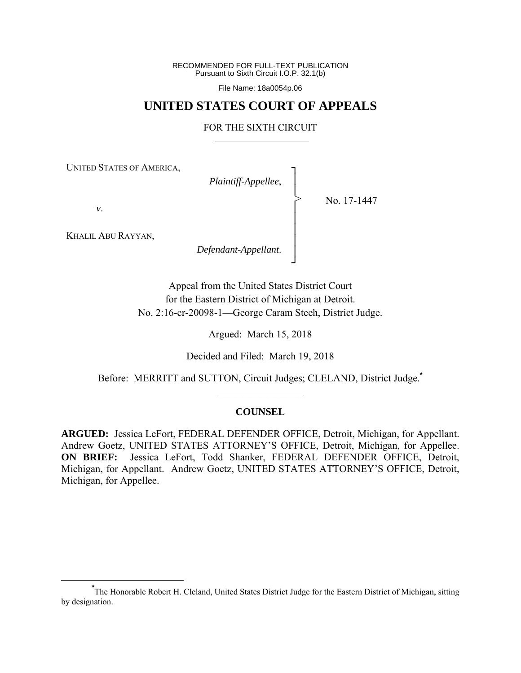RECOMMENDED FOR FULL-TEXT PUBLICATION Pursuant to Sixth Circuit I.O.P. 32.1(b)

File Name: 18a0054p.06

# **UNITED STATES COURT OF APPEALS**

#### FOR THE SIXTH CIRCUIT

┐ │ │ │ │ │ │ │ ┘

>

UNITED STATES OF AMERICA,

*Plaintiff-Appellee*,

No. 17-1447

*v*.

KHALIL ABU RAYYAN,

*Defendant-Appellant*.

Appeal from the United States District Court for the Eastern District of Michigan at Detroit. No. 2:16-cr-20098-1—George Caram Steeh, District Judge.

Argued: March 15, 2018

Decided and Filed: March 19, 2018

Before: MERRITT and SUTTON, Circuit Judges; CLELAND, District Judge.**\***  $\frac{1}{2}$  ,  $\frac{1}{2}$  ,  $\frac{1}{2}$  ,  $\frac{1}{2}$  ,  $\frac{1}{2}$  ,  $\frac{1}{2}$  ,  $\frac{1}{2}$  ,  $\frac{1}{2}$  ,  $\frac{1}{2}$ 

## **COUNSEL**

**ARGUED:** Jessica LeFort, FEDERAL DEFENDER OFFICE, Detroit, Michigan, for Appellant. Andrew Goetz, UNITED STATES ATTORNEY'S OFFICE, Detroit, Michigan, for Appellee. **ON BRIEF:** Jessica LeFort, Todd Shanker, FEDERAL DEFENDER OFFICE, Detroit, Michigan, for Appellant. Andrew Goetz, UNITED STATES ATTORNEY'S OFFICE, Detroit, Michigan, for Appellee.

**\*** The Honorable Robert H. Cleland, United States District Judge for the Eastern District of Michigan, sitting by designation.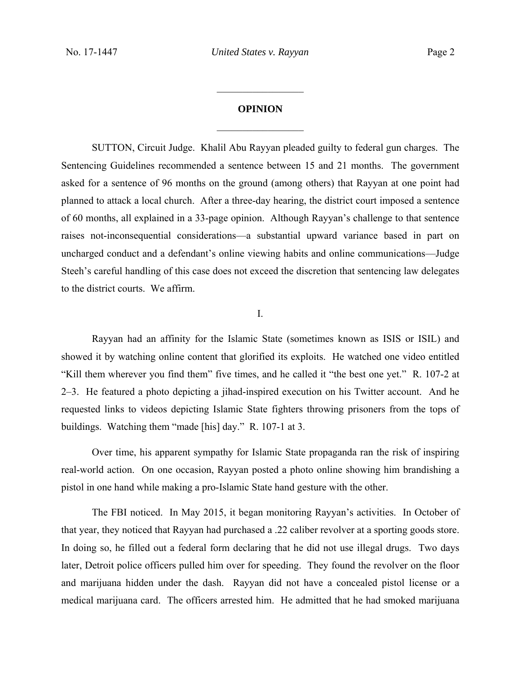# **OPINION**   $\frac{1}{2}$

 $\frac{1}{2}$ 

 SUTTON, Circuit Judge. Khalil Abu Rayyan pleaded guilty to federal gun charges. The Sentencing Guidelines recommended a sentence between 15 and 21 months. The government asked for a sentence of 96 months on the ground (among others) that Rayyan at one point had planned to attack a local church. After a three-day hearing, the district court imposed a sentence of 60 months, all explained in a 33-page opinion. Although Rayyan's challenge to that sentence raises not-inconsequential considerations—a substantial upward variance based in part on uncharged conduct and a defendant's online viewing habits and online communications—Judge Steeh's careful handling of this case does not exceed the discretion that sentencing law delegates to the district courts. We affirm.

I.

 Rayyan had an affinity for the Islamic State (sometimes known as ISIS or ISIL) and showed it by watching online content that glorified its exploits. He watched one video entitled "Kill them wherever you find them" five times, and he called it "the best one yet." R. 107-2 at 2–3. He featured a photo depicting a jihad-inspired execution on his Twitter account. And he requested links to videos depicting Islamic State fighters throwing prisoners from the tops of buildings. Watching them "made [his] day." R. 107-1 at 3.

Over time, his apparent sympathy for Islamic State propaganda ran the risk of inspiring real-world action. On one occasion, Rayyan posted a photo online showing him brandishing a pistol in one hand while making a pro-Islamic State hand gesture with the other.

 The FBI noticed. In May 2015, it began monitoring Rayyan's activities. In October of that year, they noticed that Rayyan had purchased a .22 caliber revolver at a sporting goods store. In doing so, he filled out a federal form declaring that he did not use illegal drugs. Two days later, Detroit police officers pulled him over for speeding. They found the revolver on the floor and marijuana hidden under the dash. Rayyan did not have a concealed pistol license or a medical marijuana card. The officers arrested him. He admitted that he had smoked marijuana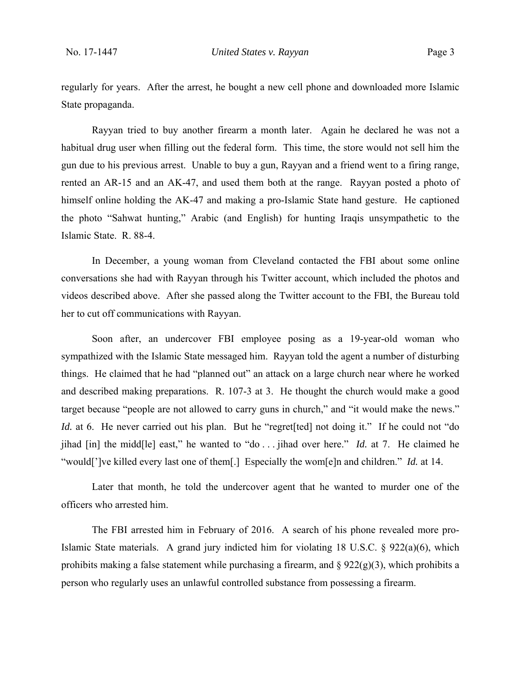regularly for years. After the arrest, he bought a new cell phone and downloaded more Islamic State propaganda.

Rayyan tried to buy another firearm a month later. Again he declared he was not a habitual drug user when filling out the federal form. This time, the store would not sell him the gun due to his previous arrest. Unable to buy a gun, Rayyan and a friend went to a firing range, rented an AR-15 and an AK-47, and used them both at the range. Rayyan posted a photo of himself online holding the AK-47 and making a pro-Islamic State hand gesture. He captioned the photo "Sahwat hunting," Arabic (and English) for hunting Iraqis unsympathetic to the Islamic State. R. 88-4.

 In December, a young woman from Cleveland contacted the FBI about some online conversations she had with Rayyan through his Twitter account, which included the photos and videos described above. After she passed along the Twitter account to the FBI, the Bureau told her to cut off communications with Rayyan.

Soon after, an undercover FBI employee posing as a 19-year-old woman who sympathized with the Islamic State messaged him. Rayyan told the agent a number of disturbing things. He claimed that he had "planned out" an attack on a large church near where he worked and described making preparations. R. 107-3 at 3. He thought the church would make a good target because "people are not allowed to carry guns in church," and "it would make the news." *Id.* at 6. He never carried out his plan. But he "regret [ted] not doing it." If he could not "do jihad [in] the midd[le] east," he wanted to "do . . . jihad over here." *Id.* at 7. He claimed he "would[']ve killed every last one of them[.] Especially the wom[e]n and children." *Id.* at 14.

Later that month, he told the undercover agent that he wanted to murder one of the officers who arrested him.

 The FBI arrested him in February of 2016. A search of his phone revealed more pro-Islamic State materials. A grand jury indicted him for violating 18 U.S.C. § 922(a)(6), which prohibits making a false statement while purchasing a firearm, and  $\S 922(g)(3)$ , which prohibits a person who regularly uses an unlawful controlled substance from possessing a firearm.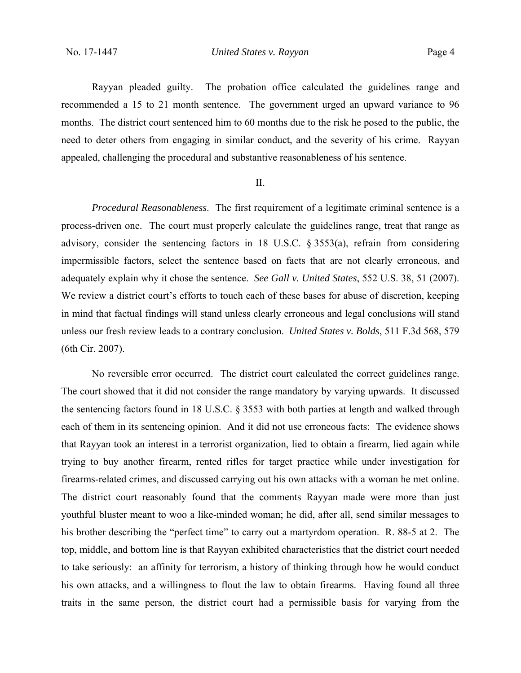Rayyan pleaded guilty. The probation office calculated the guidelines range and recommended a 15 to 21 month sentence. The government urged an upward variance to 96 months. The district court sentenced him to 60 months due to the risk he posed to the public, the need to deter others from engaging in similar conduct, and the severity of his crime. Rayyan appealed, challenging the procedural and substantive reasonableness of his sentence.

### II.

*Procedural Reasonableness*. The first requirement of a legitimate criminal sentence is a process-driven one. The court must properly calculate the guidelines range, treat that range as advisory, consider the sentencing factors in 18 U.S.C. § 3553(a), refrain from considering impermissible factors, select the sentence based on facts that are not clearly erroneous, and adequately explain why it chose the sentence. *See Gall v. United States*, 552 U.S. 38, 51 (2007). We review a district court's efforts to touch each of these bases for abuse of discretion, keeping in mind that factual findings will stand unless clearly erroneous and legal conclusions will stand unless our fresh review leads to a contrary conclusion. *United States v. Bolds*, 511 F.3d 568, 579 (6th Cir. 2007).

No reversible error occurred. The district court calculated the correct guidelines range. The court showed that it did not consider the range mandatory by varying upwards. It discussed the sentencing factors found in 18 U.S.C. § 3553 with both parties at length and walked through each of them in its sentencing opinion. And it did not use erroneous facts: The evidence shows that Rayyan took an interest in a terrorist organization, lied to obtain a firearm, lied again while trying to buy another firearm, rented rifles for target practice while under investigation for firearms-related crimes, and discussed carrying out his own attacks with a woman he met online. The district court reasonably found that the comments Rayyan made were more than just youthful bluster meant to woo a like-minded woman; he did, after all, send similar messages to his brother describing the "perfect time" to carry out a martyrdom operation. R. 88-5 at 2.The top, middle, and bottom line is that Rayyan exhibited characteristics that the district court needed to take seriously: an affinity for terrorism, a history of thinking through how he would conduct his own attacks, and a willingness to flout the law to obtain firearms. Having found all three traits in the same person, the district court had a permissible basis for varying from the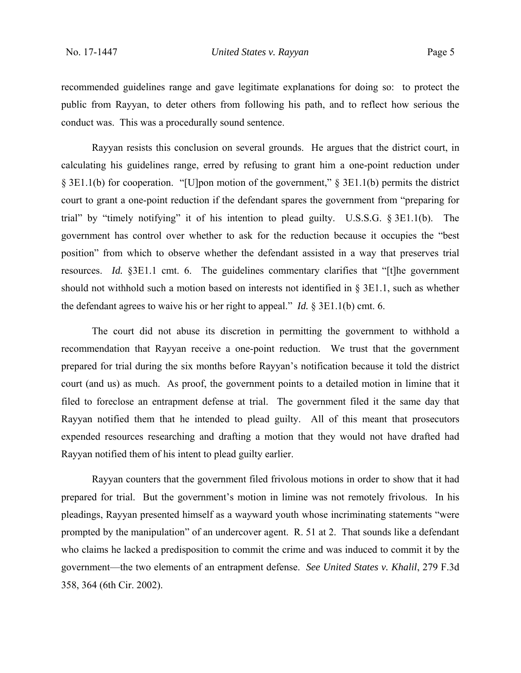recommended guidelines range and gave legitimate explanations for doing so: to protect the public from Rayyan, to deter others from following his path, and to reflect how serious the conduct was. This was a procedurally sound sentence.

Rayyan resists this conclusion on several grounds. He argues that the district court, in calculating his guidelines range, erred by refusing to grant him a one-point reduction under § 3E1.1(b) for cooperation. "[U]pon motion of the government," § 3E1.1(b) permits the district court to grant a one-point reduction if the defendant spares the government from "preparing for trial" by "timely notifying" it of his intention to plead guilty. U.S.S.G. § 3E1.1(b). The government has control over whether to ask for the reduction because it occupies the "best position" from which to observe whether the defendant assisted in a way that preserves trial resources. *Id.* §3E1.1 cmt. 6. The guidelines commentary clarifies that "[t]he government should not withhold such a motion based on interests not identified in § 3E1.1, such as whether the defendant agrees to waive his or her right to appeal." *Id.* § 3E1.1(b) cmt. 6.

The court did not abuse its discretion in permitting the government to withhold a recommendation that Rayyan receive a one-point reduction. We trust that the government prepared for trial during the six months before Rayyan's notification because it told the district court (and us) as much. As proof, the government points to a detailed motion in limine that it filed to foreclose an entrapment defense at trial. The government filed it the same day that Rayyan notified them that he intended to plead guilty. All of this meant that prosecutors expended resources researching and drafting a motion that they would not have drafted had Rayyan notified them of his intent to plead guilty earlier.

Rayyan counters that the government filed frivolous motions in order to show that it had prepared for trial. But the government's motion in limine was not remotely frivolous. In his pleadings, Rayyan presented himself as a wayward youth whose incriminating statements "were prompted by the manipulation" of an undercover agent. R. 51 at 2. That sounds like a defendant who claims he lacked a predisposition to commit the crime and was induced to commit it by the government—the two elements of an entrapment defense. *See United States v. Khalil*, 279 F.3d 358, 364 (6th Cir. 2002).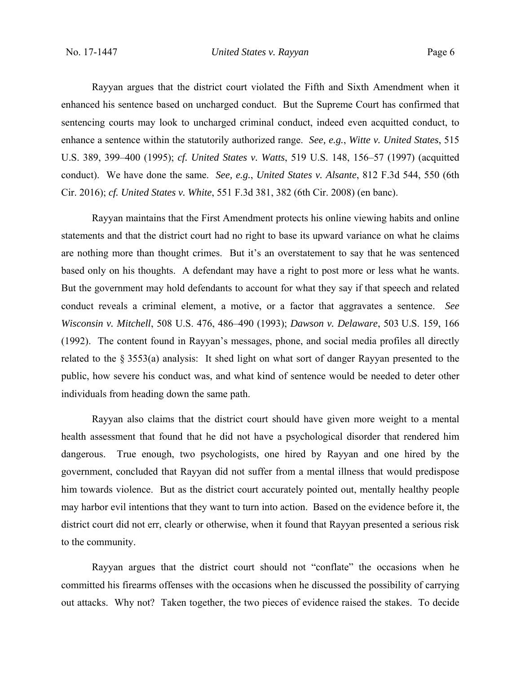Rayyan argues that the district court violated the Fifth and Sixth Amendment when it enhanced his sentence based on uncharged conduct. But the Supreme Court has confirmed that sentencing courts may look to uncharged criminal conduct, indeed even acquitted conduct, to enhance a sentence within the statutorily authorized range. *See, e.g.*, *Witte v. United States*, 515 U.S. 389, 399–400 (1995); *cf. United States v. Watts*, 519 U.S. 148, 156–57 (1997) (acquitted conduct). We have done the same. *See, e.g.*, *United States v. Alsante*, 812 F.3d 544, 550 (6th Cir. 2016); *cf. United States v. White*, 551 F.3d 381, 382 (6th Cir. 2008) (en banc).

Rayyan maintains that the First Amendment protects his online viewing habits and online statements and that the district court had no right to base its upward variance on what he claims are nothing more than thought crimes. But it's an overstatement to say that he was sentenced based only on his thoughts. A defendant may have a right to post more or less what he wants. But the government may hold defendants to account for what they say if that speech and related conduct reveals a criminal element, a motive, or a factor that aggravates a sentence. *See Wisconsin v. Mitchell*, 508 U.S. 476, 486–490 (1993); *Dawson v. Delaware*, 503 U.S. 159, 166 (1992). The content found in Rayyan's messages, phone, and social media profiles all directly related to the § 3553(a) analysis: It shed light on what sort of danger Rayyan presented to the public, how severe his conduct was, and what kind of sentence would be needed to deter other individuals from heading down the same path.

 Rayyan also claims that the district court should have given more weight to a mental health assessment that found that he did not have a psychological disorder that rendered him dangerous. True enough, two psychologists, one hired by Rayyan and one hired by the government, concluded that Rayyan did not suffer from a mental illness that would predispose him towards violence. But as the district court accurately pointed out, mentally healthy people may harbor evil intentions that they want to turn into action. Based on the evidence before it, the district court did not err, clearly or otherwise, when it found that Rayyan presented a serious risk to the community.

Rayyan argues that the district court should not "conflate" the occasions when he committed his firearms offenses with the occasions when he discussed the possibility of carrying out attacks. Why not? Taken together, the two pieces of evidence raised the stakes. To decide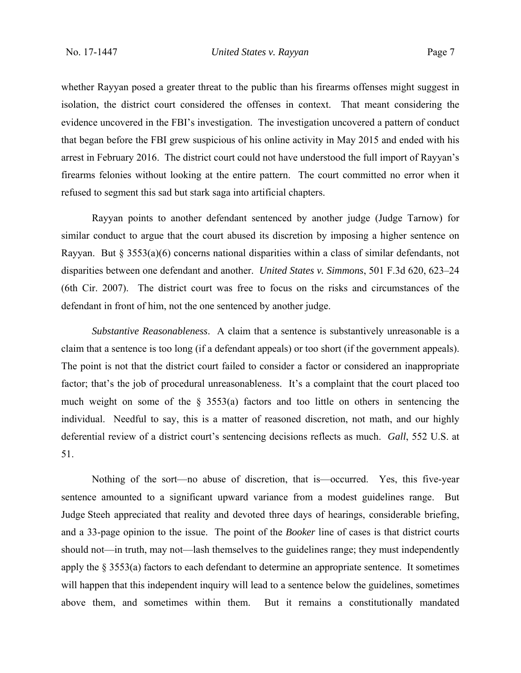whether Rayyan posed a greater threat to the public than his firearms offenses might suggest in isolation, the district court considered the offenses in context. That meant considering the evidence uncovered in the FBI's investigation. The investigation uncovered a pattern of conduct that began before the FBI grew suspicious of his online activity in May 2015 and ended with his arrest in February 2016. The district court could not have understood the full import of Rayyan's firearms felonies without looking at the entire pattern. The court committed no error when it refused to segment this sad but stark saga into artificial chapters.

Rayyan points to another defendant sentenced by another judge (Judge Tarnow) for similar conduct to argue that the court abused its discretion by imposing a higher sentence on Rayyan. But  $\S 3553(a)(6)$  concerns national disparities within a class of similar defendants, not disparities between one defendant and another. *United States v. Simmons*, 501 F.3d 620, 623–24 (6th Cir. 2007). The district court was free to focus on the risks and circumstances of the defendant in front of him, not the one sentenced by another judge.

*Substantive Reasonableness*. A claim that a sentence is substantively unreasonable is a claim that a sentence is too long (if a defendant appeals) or too short (if the government appeals). The point is not that the district court failed to consider a factor or considered an inappropriate factor; that's the job of procedural unreasonableness. It's a complaint that the court placed too much weight on some of the § 3553(a) factors and too little on others in sentencing the individual. Needful to say, this is a matter of reasoned discretion, not math, and our highly deferential review of a district court's sentencing decisions reflects as much. *Gall*, 552 U.S. at 51.

Nothing of the sort—no abuse of discretion, that is—occurred. Yes, this five-year sentence amounted to a significant upward variance from a modest guidelines range. But Judge Steeh appreciated that reality and devoted three days of hearings, considerable briefing, and a 33-page opinion to the issue. The point of the *Booker* line of cases is that district courts should not—in truth, may not—lash themselves to the guidelines range; they must independently apply the § 3553(a) factors to each defendant to determine an appropriate sentence. It sometimes will happen that this independent inquiry will lead to a sentence below the guidelines, sometimes above them, and sometimes within them. But it remains a constitutionally mandated